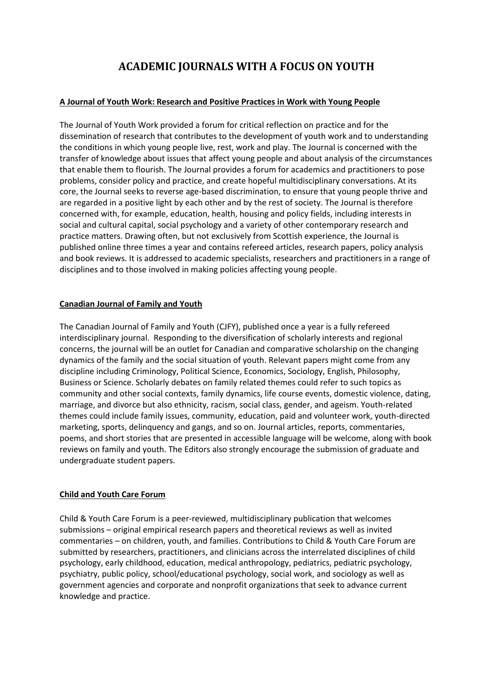# **ACADEMIC JOURNALS WITH A FOCUS ON YOUTH**

# **[A Journal of Youth Work: Research and Positive Practices in Work with Young People](http://www.youthlinkscotland.org/Index.asp?MainID=9499)**

The Journal of Youth Work provided a forum for critical reflection on practice and for the dissemination of research that contributes to the development of youth work and to understanding the conditions in which young people live, rest, work and play. The Journal is concerned with the transfer of knowledge about issues that affect young people and about analysis of the circumstances that enable them to flourish. The Journal provides a forum for academics and practitioners to pose problems, consider policy and practice, and create hopeful multidisciplinary conversations. At its core, the Journal seeks to reverse age-based discrimination, to ensure that young people thrive and are regarded in a positive light by each other and by the rest of society. The Journal is therefore concerned with, for example, education, health, housing and policy fields, including interests in social and cultural capital, social psychology and a variety of other contemporary research and practice matters. Drawing often, but not exclusively from Scottish experience, the Journal is published online three times a year and contains refereed articles, research papers, policy analysis and book reviews. It is addressed to academic specialists, researchers and practitioners in a range of disciplines and to those involved in making policies affecting young people.

# **[Canadian Journal of Family and Youth](http://ejournals.library.ualberta.ca/index.php/cjfy/index)**

The Canadian Journal of Family and Youth (CJFY), published once a year is a fully refereed interdisciplinary journal. Responding to the diversification of scholarly interests and regional concerns, the journal will be an outlet for Canadian and comparative scholarship on the changing dynamics of the family and the social situation of youth. Relevant papers might come from any discipline including Criminology, Political Science, Economics, Sociology, English, Philosophy, Business or Science. Scholarly debates on family related themes could refer to such topics as community and other social contexts, family dynamics, life course events, domestic violence, dating, marriage, and divorce but also ethnicity, racism, social class, gender, and ageism. Youth-related themes could include family issues, community, education, paid and volunteer work, youth-directed marketing, sports, delinquency and gangs, and so on. Journal articles, reports, commentaries, poems, and short stories that are presented in accessible language will be welcome, along with book reviews on family and youth. The Editors also strongly encourage the submission of graduate and undergraduate student papers.

#### **[Child and Youth Care Forum](http://link.springer.com/journal/10566)**

Child & Youth Care Forum is a peer-reviewed, multidisciplinary publication that welcomes submissions – original empirical research papers and theoretical reviews as well as invited commentaries – on children, youth, and families. Contributions to Child & Youth Care Forum are submitted by researchers, practitioners, and clinicians across the interrelated disciplines of child psychology, early childhood, education, medical anthropology, pediatrics, pediatric psychology, psychiatry, public policy, school/educational psychology, social work, and sociology as well as government agencies and corporate and nonprofit organizations that seek to advance current knowledge and practice.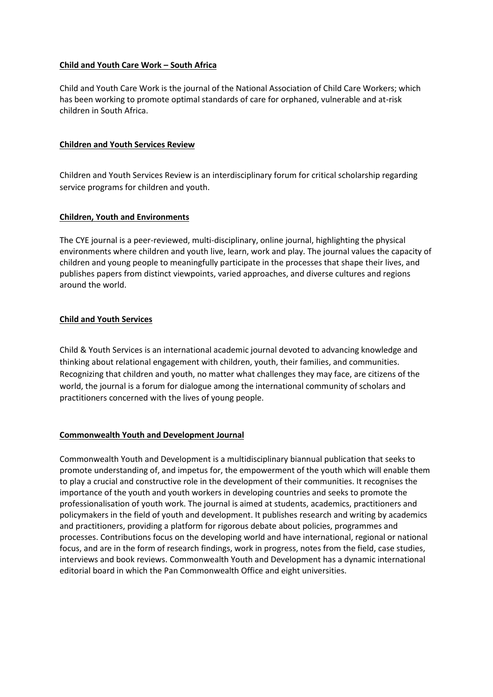# **[Child and Youth Care Work](http://www.naccw.org.za/) – South Africa**

Child and Youth Care Work is the journal of the National Association of Child Care Workers; which has been working to promote optimal standards of care for orphaned, vulnerable and at-risk children in South Africa.

# **[Children and Youth Services Review](https://www.journals.elsevier.com/children-and-youth-services-review)**

Children and Youth Services Review is an interdisciplinary forum for critical scholarship regarding service programs for children and youth.

# **[Children, Youth and Environments](http://cyenetwork.org/)**

The CYE journal is a peer-reviewed, multi-disciplinary, online journal, highlighting the physical environments where children and youth live, learn, work and play. The journal values the capacity of children and young people to meaningfully participate in the processes that shape their lives, and publishes papers from distinct viewpoints, varied approaches, and diverse cultures and regions around the world.

# **[Child and Youth Services](http://www.tandfonline.com/loi/wcys20)**

Child & Youth Services is an international academic journal devoted to advancing knowledge and thinking about relational engagement with children, youth, their families, and communities. Recognizing that children and youth, no matter what challenges they may face, are citizens of the world, the journal is a forum for dialogue among the international community of scholars and practitioners concerned with the lives of young people.

# **[Commonwealth Youth and Development Journal](http://journals.co.za/content/journal/cydev)**

Commonwealth Youth and Development is a multidisciplinary biannual publication that seeks to promote understanding of, and impetus for, the empowerment of the youth which will enable them to play a crucial and constructive role in the development of their communities. It recognises the importance of the youth and youth workers in developing countries and seeks to promote the professionalisation of youth work. The journal is aimed at students, academics, practitioners and policymakers in the field of youth and development. It publishes research and writing by academics and practitioners, providing a platform for rigorous debate about policies, programmes and processes. Contributions focus on the developing world and have international, regional or national focus, and are in the form of research findings, work in progress, notes from the field, case studies, interviews and book reviews. Commonwealth Youth and Development has a dynamic international editorial board in which the Pan Commonwealth Office and eight universities.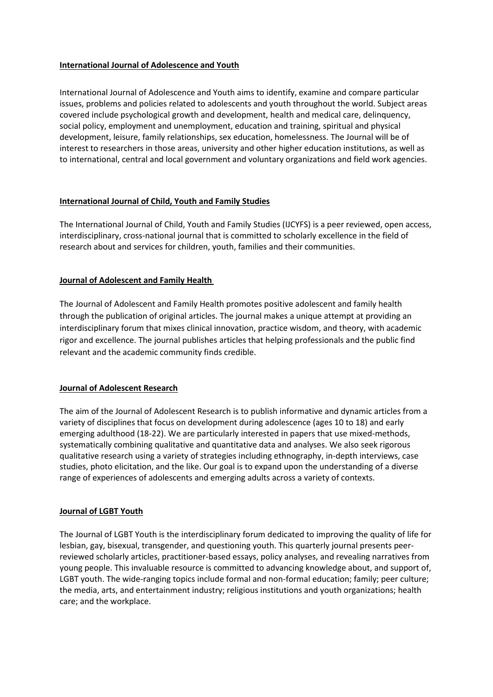# **[International Journal of Adolescence and Youth](http://www.tandfonline.com/loi/rady20)**

International Journal of Adolescence and Youth aims to identify, examine and compare particular issues, problems and policies related to adolescents and youth throughout the world. Subject areas covered include psychological growth and development, health and medical care, delinquency, social policy, employment and unemployment, education and training, spiritual and physical development, leisure, family relationships, sex education, homelessness. The Journal will be of interest to researchers in those areas, university and other higher education institutions, as well as to international, central and local government and voluntary organizations and field work agencies.

# **[International Journal of Child, Youth and Family Studies](http://journals.uvic.ca/index.php/ijcyfs)**

The International Journal of Child, Youth and Family Studies (IJCYFS) is a peer reviewed, open access, interdisciplinary, cross-national journal that is committed to scholarly excellence in the field of research about and services for children, youth, families and their communities.

# **Journal of [Adolescent](http://scholar.utc.edu/jafh/) and Family Health**

The Journal of Adolescent and Family Health promotes positive adolescent and family health through the publication of original articles. The journal makes a unique attempt at providing an interdisciplinary forum that mixes clinical innovation, practice wisdom, and theory, with academic rigor and excellence. The journal publishes articles that helping professionals and the public find relevant and the academic community finds credible.

#### **[Journal of Adolescent Research](http://journals.sagepub.com/home/jar)**

The aim of the Journal of Adolescent Research is to publish informative and dynamic articles from a variety of disciplines that focus on development during adolescence (ages 10 to 18) and early emerging adulthood (18-22). We are particularly interested in papers that use mixed-methods, systematically combining qualitative and quantitative data and analyses. We also seek rigorous qualitative research using a variety of strategies including ethnography, in-depth interviews, case studies, photo elicitation, and the like. Our goal is to expand upon the understanding of a diverse range of experiences of adolescents and emerging adults across a variety of contexts.

#### **[Journal of LGBT Youth](http://www.tandfonline.com/toc/wjly20/current)**

The Journal of LGBT Youth is the interdisciplinary forum dedicated to improving the quality of life for lesbian, gay, bisexual, transgender, and questioning youth. This quarterly journal presents peerreviewed scholarly articles, practitioner-based essays, policy analyses, and revealing narratives from young people. This invaluable resource is committed to advancing knowledge about, and support of, LGBT youth. The wide-ranging topics include formal and non-formal education; family; peer culture; the media, arts, and entertainment industry; religious institutions and youth organizations; health care; and the workplace.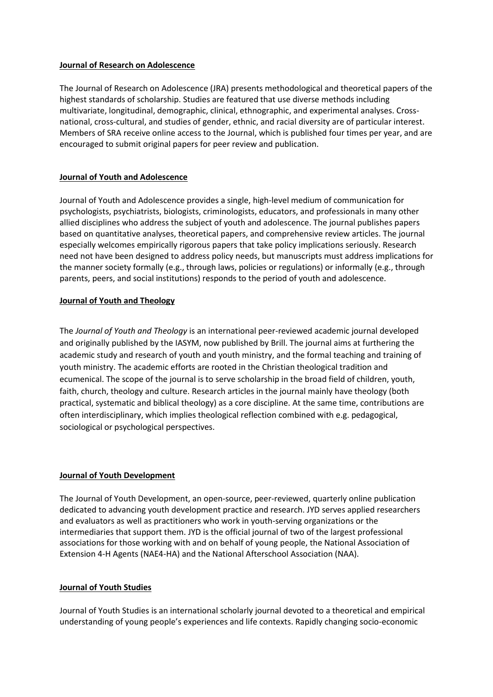#### **[Journal of Research on Adolescence](http://www.s-r-a.org/journal-research-adolescence/about-jra)**

The Journal of Research on Adolescence (JRA) presents methodological and theoretical papers of the highest standards of scholarship. Studies are featured that use diverse methods including multivariate, longitudinal, demographic, clinical, ethnographic, and experimental analyses. Crossnational, cross-cultural, and studies of gender, ethnic, and racial diversity are of particular interest. Members of SRA receive online access to the Journal, which is published four times per year, and are encouraged to submit original papers for peer review and publication.

# **[Journal of Youth and Adolescence](http://www.springer.com/psychology/child+%26+school+psychology/journal/10964)**

Journal of Youth and Adolescence provides a single, high-level medium of communication for psychologists, psychiatrists, biologists, criminologists, educators, and professionals in many other allied disciplines who address the subject of youth and adolescence. The journal publishes papers based on quantitative analyses, theoretical papers, and comprehensive review articles. The journal especially welcomes empirically rigorous papers that take policy implications seriously. Research need not have been designed to address policy needs, but manuscripts must address implications for the manner society formally (e.g., through laws, policies or regulations) or informally (e.g., through parents, peers, and social institutions) responds to the period of youth and adolescence.

# **[Journal of Youth and Theology](http://iasym.net/wp3/journal-of-youth-and-theology/)**

The *Journal of Youth and Theology* is an international peer-reviewed academic journal developed and originally published by the IASYM, now published by Brill. The journal aims at furthering the academic study and research of youth and youth ministry, and the formal teaching and training of youth ministry. The academic efforts are rooted in the Christian theological tradition and ecumenical. The scope of the journal is to serve scholarship in the broad field of children, youth, faith, church, theology and culture. Research articles in the journal mainly have theology (both practical, systematic and biblical theology) as a core discipline. At the same time, contributions are often interdisciplinary, which implies theological reflection combined with e.g. pedagogical, sociological or psychological perspectives.

# **[Journal of Youth Development](http://jyd.pitt.edu/ojs/index.php/jyd)**

The Journal of Youth Development, an open-source, peer-reviewed, quarterly online publication dedicated to advancing youth development practice and research. JYD serves applied researchers and evaluators as well as practitioners who work in youth-serving organizations or the intermediaries that support them. JYD is the official journal of two of the largest professional associations for those working with and on behalf of young people, the National Association of Extension 4-H Agents (NAE4-HA) and the National Afterschool Association (NAA).

#### **[Journal of Youth Studies](http://www.tandfonline.com/action/journalInformation?show=aimsScope&journalCode=cjys20)**

Journal of Youth Studies is an international scholarly journal devoted to a theoretical and empirical understanding of young people's experiences and life contexts. Rapidly changing socio-economic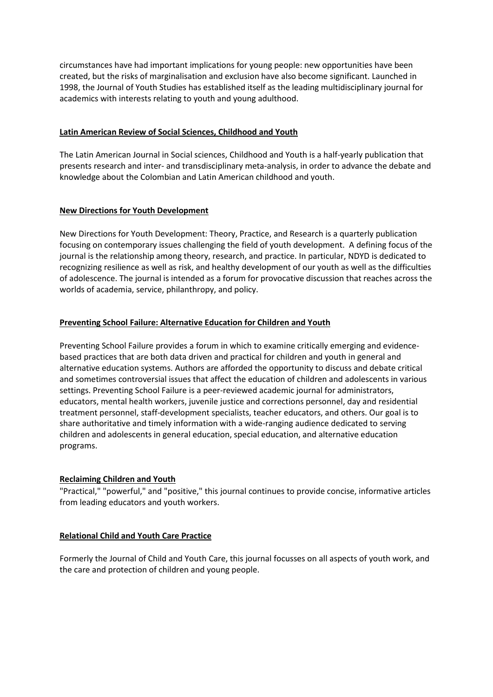circumstances have had important implications for young people: new opportunities have been created, but the risks of marginalisation and exclusion have also become significant. Launched in 1998, the Journal of Youth Studies has established itself as the leading multidisciplinary journal for academics with interests relating to youth and young adulthood.

# **[Latin American Review of Social Sciences, Childhood and Youth](http://www.scielo.org.co/scielo.php?script=sci_serial&pid=1692-715X&lng=es&nrm=iso)**

The Latin American Journal in Social sciences, Childhood and Youth is a half-yearly publication that presents research and inter- and transdisciplinary meta-analysis, in order to advance the debate and knowledge about the Colombian and Latin American childhood and youth.

# **[New Directions for Youth Development](http://www.pearweb.org/ndyd/index.html)**

New Directions for Youth Development: Theory, Practice, and Research is a quarterly publication focusing on contemporary issues challenging the field of youth development. A defining focus of the journal is the relationship among theory, research, and practice. In particular, NDYD is dedicated to recognizing resilience as well as risk, and healthy development of our youth as well as the difficulties of adolescence. The journal is intended as a forum for provocative discussion that reaches across the worlds of academia, service, philanthropy, and policy.

# **[Preventing School Failure: Alternative Education for Children and Youth](http://www.tandfonline.com/loi/vpsf20)**

Preventing School Failure provides a forum in which to examine critically emerging and evidencebased practices that are both data driven and practical for children and youth in general and alternative education systems. Authors are afforded the opportunity to discuss and debate critical and sometimes controversial issues that affect the education of children and adolescents in various settings. Preventing School Failure is a peer-reviewed academic journal for administrators, educators, mental health workers, juvenile justice and corrections personnel, day and residential treatment personnel, staff-development specialists, teacher educators, and others. Our goal is to share authoritative and timely information with a wide-ranging audience dedicated to serving children and adolescents in general education, special education, and alternative education programs.

# **[Reclaiming Children and Youth](http://reclaimingjournal.com/)**

"Practical," "powerful," and "positive," this journal continues to provide concise, informative articles from leading educators and youth workers.

# **[Relational Child and Youth Care Practice](http://www.cyc-net.org/Journals/rcycp/index.html)**

Formerly the Journal of Child and Youth Care, this journal focusses on all aspects of youth work, and the care and protection of children and young people.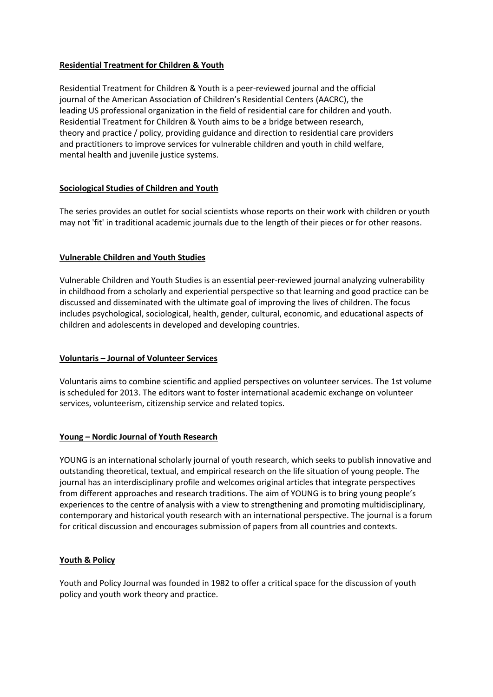# **[Residential Treatment for Children](http://www.tandfonline.com/action/aboutThisJournal?show=aimsScope&journalCode=wrtc20) & Youth**

Residential Treatment for Children & Youth is a peer-reviewed journal and the official journal of the American Association of Children's Residential Centers (AACRC), the leading US professional organization in the field of residential care for children and youth. Residential Treatment for Children & Youth aims to be a bridge between research, theory and practice / policy, providing guidance and direction to residential care providers and practitioners to improve services for vulnerable children and youth in child welfare, mental health and juvenile justice systems.

# **[Sociological Studies of Children and Youth](http://www.emeraldinsight.com/series/ssch)**

The series provides an outlet for social scientists whose reports on their work with children or youth may not 'fit' in traditional academic journals due to the length of their pieces or for other reasons.

# **[Vulnerable Children and Youth Studies](http://www.tandfonline.com/loi/rvch20)**

Vulnerable Children and Youth Studies is an essential peer-reviewed journal analyzing vulnerability in childhood from a scholarly and experiential perspective so that learning and good practice can be discussed and disseminated with the ultimate goal of improving the lives of children. The focus includes psychological, sociological, health, gender, cultural, economic, and educational aspects of children and adolescents in developed and developing countries.

#### **Voluntaris – [Journal of Volunteer Services](https://voluntariszff.wordpress.com/)**

Voluntaris aims to combine scientific and applied perspectives on volunteer services. The 1st volume is scheduled for 2013. The editors want to foster international academic exchange on volunteer services, volunteerism, citizenship service and related topics.

#### **Young – [Nordic Journal of Youth Research](https://us.sagepub.com/en-us/nam/young/journal201637#tabview=title)**

YOUNG is an international scholarly journal of youth research, which seeks to publish innovative and outstanding theoretical, textual, and empirical research on the life situation of young people. The journal has an interdisciplinary profile and welcomes original articles that integrate perspectives from different approaches and research traditions. The aim of YOUNG is to bring young people's experiences to the centre of analysis with a view to strengthening and promoting multidisciplinary, contemporary and historical youth research with an international perspective. The journal is a forum for critical discussion and encourages submission of papers from all countries and contexts.

#### **[Youth & Policy](http://www.youthandpolicy.org/journal/)**

Youth and Policy Journal was founded in 1982 to offer a critical space for the discussion of youth policy and youth work theory and practice.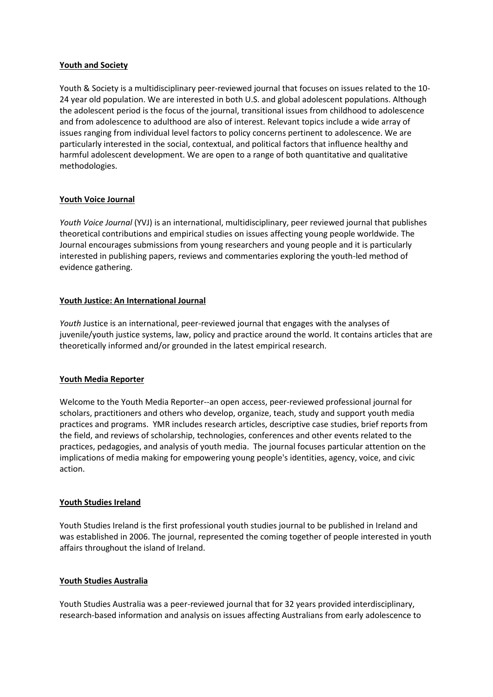## **[Youth and Society](https://uk.sagepub.com/en-gb/eur/youth-society/journal200812#tabview=title)**

Youth & Society is a multidisciplinary peer-reviewed journal that focuses on issues related to the 10- 24 year old population. We are interested in both U.S. and global adolescent populations. Although the adolescent period is the focus of the journal, transitional issues from childhood to adolescence and from adolescence to adulthood are also of interest. Relevant topics include a wide array of issues ranging from individual level factors to policy concerns pertinent to adolescence. We are particularly interested in the social, contextual, and political factors that influence healthy and harmful adolescent development. We are open to a range of both quantitative and qualitative methodologies.

# **[Youth Voice Journal](https://youthvoicejournal.com/)**

*Youth Voice Journal* (YVJ) is an international, multidisciplinary, peer reviewed journal that publishes theoretical contributions and empirical studies on issues affecting young people worldwide. The Journal encourages submissions from young researchers and young people and it is particularly interested in publishing papers, reviews and commentaries exploring the youth-led method of evidence gathering.

# **[Youth Justice: An International Journal](http://journals.sagepub.com/home/yjj)**

Youth Justice is an international, peer-reviewed journal that engages with the analyses of juvenile/youth justice systems, law, policy and practice around the world. It contains articles that are theoretically informed and/or grounded in the latest empirical research.

#### **[Youth Media Reporter](http://www.youthmediareporter.org/)**

Welcome to the Youth Media Reporter--an open access, peer-reviewed professional journal for scholars, practitioners and others who develop, organize, teach, study and support youth media practices and programs. YMR includes research articles, descriptive case studies, brief reports from the field, and reviews of scholarship, technologies, conferences and other events related to the practices, pedagogies, and analysis of youth media. The journal focuses particular attention on the implications of media making for empowering young people's identities, agency, voice, and civic action.

#### **[Youth Studies Ireland](http://youthworkireland.ie/youth-work-centre/youth-studies-ireland-journal)**

Youth Studies Ireland is the first professional youth studies journal to be published in Ireland and was established in 2006. The journal, represented the coming together of people interested in youth affairs throughout the island of Ireland.

#### **[Youth Studies Australia](http://acys.info/publications/ysa/)**

Youth Studies Australia was a peer-reviewed journal that for 32 years provided interdisciplinary, research-based information and analysis on issues affecting Australians from early adolescence to